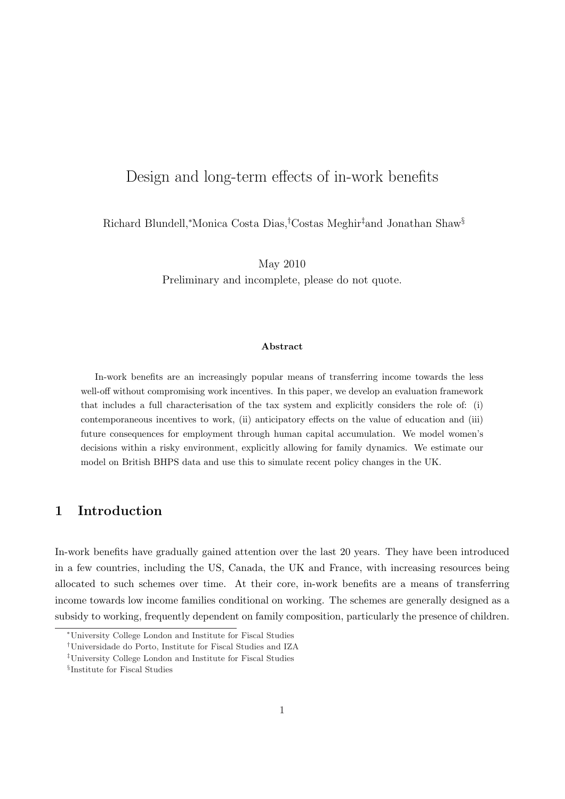# Design and long-term effects of in-work benefits

Richard Blundell,<sup>∗</sup>Monica Costa Dias,†Costas Meghir‡and Jonathan Shaw§

May 2010

Preliminary and incomplete, please do not quote.

#### Abstract

In-work benefits are an increasingly popular means of transferring income towards the less well-off without compromising work incentives. In this paper, we develop an evaluation framework that includes a full characterisation of the tax system and explicitly considers the role of: (i) contemporaneous incentives to work, (ii) anticipatory effects on the value of education and (iii) future consequences for employment through human capital accumulation. We model women's decisions within a risky environment, explicitly allowing for family dynamics. We estimate our model on British BHPS data and use this to simulate recent policy changes in the UK.

## 1 Introduction

In-work benefits have gradually gained attention over the last 20 years. They have been introduced in a few countries, including the US, Canada, the UK and France, with increasing resources being allocated to such schemes over time. At their core, in-work benefits are a means of transferring income towards low income families conditional on working. The schemes are generally designed as a subsidy to working, frequently dependent on family composition, particularly the presence of children.

<sup>∗</sup>University College London and Institute for Fiscal Studies

<sup>†</sup>Universidade do Porto, Institute for Fiscal Studies and IZA

<sup>‡</sup>University College London and Institute for Fiscal Studies

<sup>§</sup> Institute for Fiscal Studies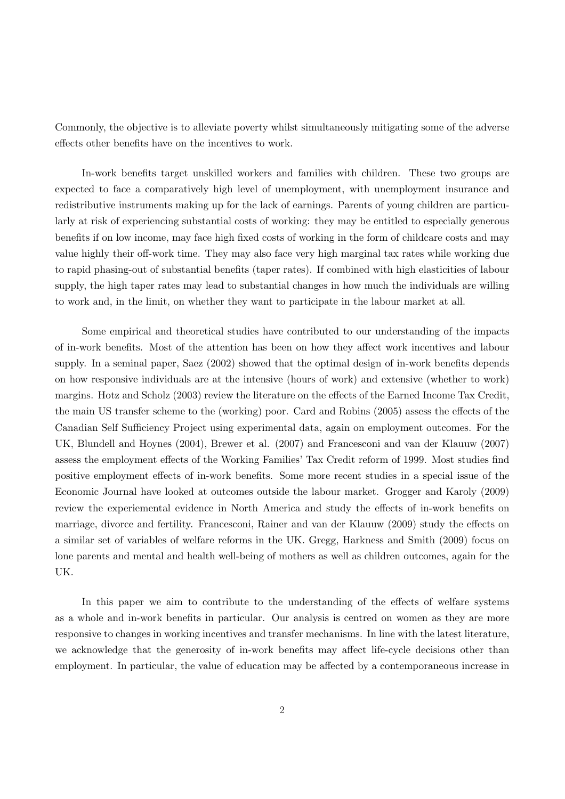Commonly, the objective is to alleviate poverty whilst simultaneously mitigating some of the adverse effects other benefits have on the incentives to work.

In-work benefits target unskilled workers and families with children. These two groups are expected to face a comparatively high level of unemployment, with unemployment insurance and redistributive instruments making up for the lack of earnings. Parents of young children are particularly at risk of experiencing substantial costs of working: they may be entitled to especially generous benefits if on low income, may face high fixed costs of working in the form of childcare costs and may value highly their off-work time. They may also face very high marginal tax rates while working due to rapid phasing-out of substantial benefits (taper rates). If combined with high elasticities of labour supply, the high taper rates may lead to substantial changes in how much the individuals are willing to work and, in the limit, on whether they want to participate in the labour market at all.

Some empirical and theoretical studies have contributed to our understanding of the impacts of in-work benefits. Most of the attention has been on how they affect work incentives and labour supply. In a seminal paper, Saez (2002) showed that the optimal design of in-work benefits depends on how responsive individuals are at the intensive (hours of work) and extensive (whether to work) margins. Hotz and Scholz (2003) review the literature on the effects of the Earned Income Tax Credit, the main US transfer scheme to the (working) poor. Card and Robins (2005) assess the effects of the Canadian Self Sufficiency Project using experimental data, again on employment outcomes. For the UK, Blundell and Hoynes (2004), Brewer et al. (2007) and Francesconi and van der Klauuw (2007) assess the employment effects of the Working Families' Tax Credit reform of 1999. Most studies find positive employment effects of in-work benefits. Some more recent studies in a special issue of the Economic Journal have looked at outcomes outside the labour market. Grogger and Karoly (2009) review the experiemental evidence in North America and study the effects of in-work benefits on marriage, divorce and fertility. Francesconi, Rainer and van der Klauuw (2009) study the effects on a similar set of variables of welfare reforms in the UK. Gregg, Harkness and Smith (2009) focus on lone parents and mental and health well-being of mothers as well as children outcomes, again for the UK.

In this paper we aim to contribute to the understanding of the effects of welfare systems as a whole and in-work benefits in particular. Our analysis is centred on women as they are more responsive to changes in working incentives and transfer mechanisms. In line with the latest literature, we acknowledge that the generosity of in-work benefits may affect life-cycle decisions other than employment. In particular, the value of education may be affected by a contemporaneous increase in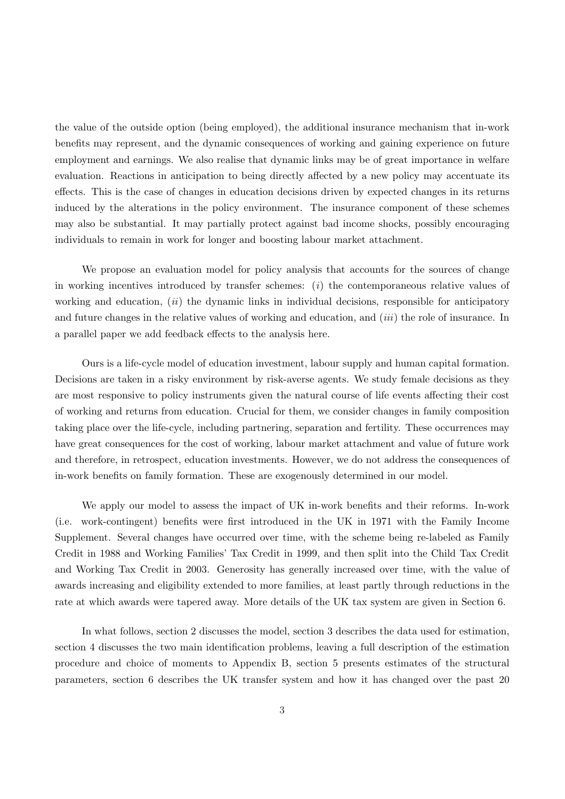the value of the outside option (being employed), the additional insurance mechanism that in-work benefits may represent, and the dynamic consequences of working and gaining experience on future employment and earnings. We also realise that dynamic links may be of great importance in welfare evaluation. Reactions in anticipation to being directly affected by a new policy may accentuate its effects. This is the case of changes in education decisions driven by expected changes in its returns induced by the alterations in the policy environment. The insurance component of these schemes may also be substantial. It may partially protect against bad income shocks, possibly encouraging individuals to remain in work for longer and boosting labour market attachment.

We propose an evaluation model for policy analysis that accounts for the sources of change in working incentives introduced by transfer schemes:  $(i)$  the contemporaneous relative values of working and education,  $(ii)$  the dynamic links in individual decisions, responsible for anticipatory and future changes in the relative values of working and education, and *(iii)* the role of insurance. In a parallel paper we add feedback effects to the analysis here.

Ours is a life-cycle model of education investment, labour supply and human capital formation. Decisions are taken in a risky environment by risk-averse agents. We study female decisions as they are most responsive to policy instruments given the natural course of life events affecting their cost of working and returns from education. Crucial for them, we consider changes in family composition taking place over the life-cycle, including partnering, separation and fertility. These occurrences may have great consequences for the cost of working, labour market attachment and value of future work and therefore, in retrospect, education investments. However, we do not address the consequences of in-work benefits on family formation. These are exogenously determined in our model.

We apply our model to assess the impact of UK in-work benefits and their reforms. In-work (i.e. work-contingent) benefits were first introduced in the UK in 1971 with the Family Income Supplement. Several changes have occurred over time, with the scheme being re-labeled as Family Credit in 1988 and Working Families' Tax Credit in 1999, and then split into the Child Tax Credit and Working Tax Credit in 2003. Generosity has generally increased over time, with the value of awards increasing and eligibility extended to more families, at least partly through reductions in the rate at which awards were tapered away. More details of the UK tax system are given in Section 6.

In what follows, section 2 discusses the model, section 3 describes the data used for estimation, section 4 discusses the two main identification problems, leaving a full description of the estimation procedure and choice of moments to Appendix B, section 5 presents estimates of the structural parameters, section 6 describes the UK transfer system and how it has changed over the past 20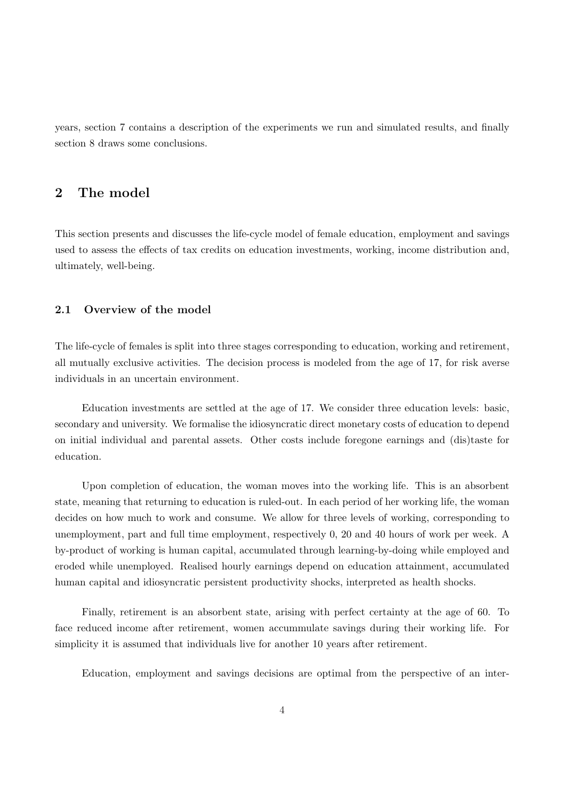years, section 7 contains a description of the experiments we run and simulated results, and finally section 8 draws some conclusions.

# 2 The model

This section presents and discusses the life-cycle model of female education, employment and savings used to assess the effects of tax credits on education investments, working, income distribution and, ultimately, well-being.

## 2.1 Overview of the model

The life-cycle of females is split into three stages corresponding to education, working and retirement, all mutually exclusive activities. The decision process is modeled from the age of 17, for risk averse individuals in an uncertain environment.

Education investments are settled at the age of 17. We consider three education levels: basic, secondary and university. We formalise the idiosyncratic direct monetary costs of education to depend on initial individual and parental assets. Other costs include foregone earnings and (dis)taste for education.

Upon completion of education, the woman moves into the working life. This is an absorbent state, meaning that returning to education is ruled-out. In each period of her working life, the woman decides on how much to work and consume. We allow for three levels of working, corresponding to unemployment, part and full time employment, respectively 0, 20 and 40 hours of work per week. A by-product of working is human capital, accumulated through learning-by-doing while employed and eroded while unemployed. Realised hourly earnings depend on education attainment, accumulated human capital and idiosyncratic persistent productivity shocks, interpreted as health shocks.

Finally, retirement is an absorbent state, arising with perfect certainty at the age of 60. To face reduced income after retirement, women accummulate savings during their working life. For simplicity it is assumed that individuals live for another 10 years after retirement.

Education, employment and savings decisions are optimal from the perspective of an inter-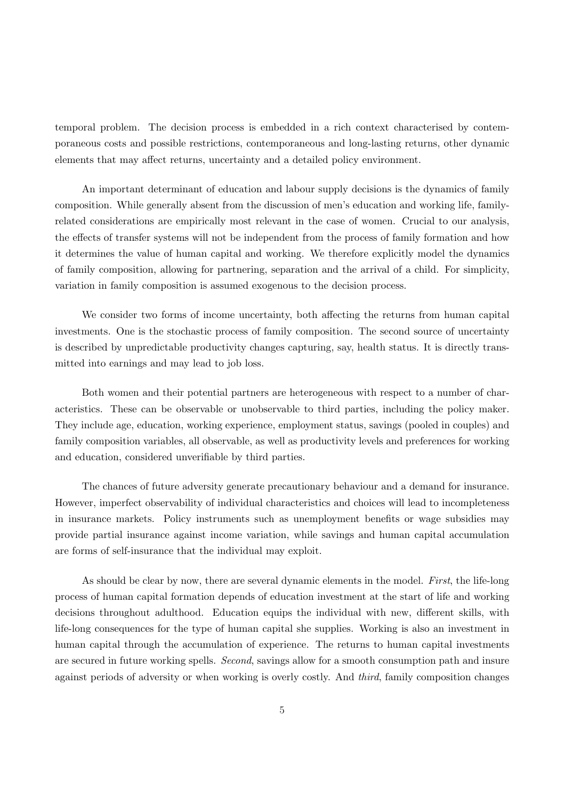temporal problem. The decision process is embedded in a rich context characterised by contemporaneous costs and possible restrictions, contemporaneous and long-lasting returns, other dynamic elements that may affect returns, uncertainty and a detailed policy environment.

An important determinant of education and labour supply decisions is the dynamics of family composition. While generally absent from the discussion of men's education and working life, familyrelated considerations are empirically most relevant in the case of women. Crucial to our analysis, the effects of transfer systems will not be independent from the process of family formation and how it determines the value of human capital and working. We therefore explicitly model the dynamics of family composition, allowing for partnering, separation and the arrival of a child. For simplicity, variation in family composition is assumed exogenous to the decision process.

We consider two forms of income uncertainty, both affecting the returns from human capital investments. One is the stochastic process of family composition. The second source of uncertainty is described by unpredictable productivity changes capturing, say, health status. It is directly transmitted into earnings and may lead to job loss.

Both women and their potential partners are heterogeneous with respect to a number of characteristics. These can be observable or unobservable to third parties, including the policy maker. They include age, education, working experience, employment status, savings (pooled in couples) and family composition variables, all observable, as well as productivity levels and preferences for working and education, considered unverifiable by third parties.

The chances of future adversity generate precautionary behaviour and a demand for insurance. However, imperfect observability of individual characteristics and choices will lead to incompleteness in insurance markets. Policy instruments such as unemployment benefits or wage subsidies may provide partial insurance against income variation, while savings and human capital accumulation are forms of self-insurance that the individual may exploit.

As should be clear by now, there are several dynamic elements in the model. First, the life-long process of human capital formation depends of education investment at the start of life and working decisions throughout adulthood. Education equips the individual with new, different skills, with life-long consequences for the type of human capital she supplies. Working is also an investment in human capital through the accumulation of experience. The returns to human capital investments are secured in future working spells. Second, savings allow for a smooth consumption path and insure against periods of adversity or when working is overly costly. And third, family composition changes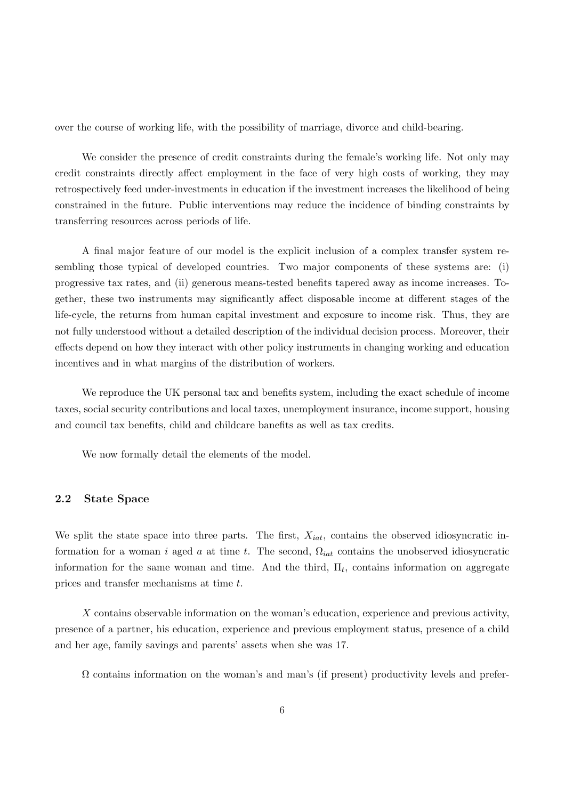over the course of working life, with the possibility of marriage, divorce and child-bearing.

We consider the presence of credit constraints during the female's working life. Not only may credit constraints directly affect employment in the face of very high costs of working, they may retrospectively feed under-investments in education if the investment increases the likelihood of being constrained in the future. Public interventions may reduce the incidence of binding constraints by transferring resources across periods of life.

A final major feature of our model is the explicit inclusion of a complex transfer system resembling those typical of developed countries. Two major components of these systems are: (i) progressive tax rates, and (ii) generous means-tested benefits tapered away as income increases. Together, these two instruments may significantly affect disposable income at different stages of the life-cycle, the returns from human capital investment and exposure to income risk. Thus, they are not fully understood without a detailed description of the individual decision process. Moreover, their effects depend on how they interact with other policy instruments in changing working and education incentives and in what margins of the distribution of workers.

We reproduce the UK personal tax and benefits system, including the exact schedule of income taxes, social security contributions and local taxes, unemployment insurance, income support, housing and council tax benefits, child and childcare banefits as well as tax credits.

We now formally detail the elements of the model.

#### 2.2 State Space

We split the state space into three parts. The first,  $X_{iat}$ , contains the observed idiosyncratic information for a woman i aged a at time t. The second,  $\Omega_{iat}$  contains the unobserved idiosyncratic information for the same woman and time. And the third,  $\Pi_t$ , contains information on aggregate prices and transfer mechanisms at time t.

X contains observable information on the woman's education, experience and previous activity, presence of a partner, his education, experience and previous employment status, presence of a child and her age, family savings and parents' assets when she was 17.

 $\Omega$  contains information on the woman's and man's (if present) productivity levels and prefer-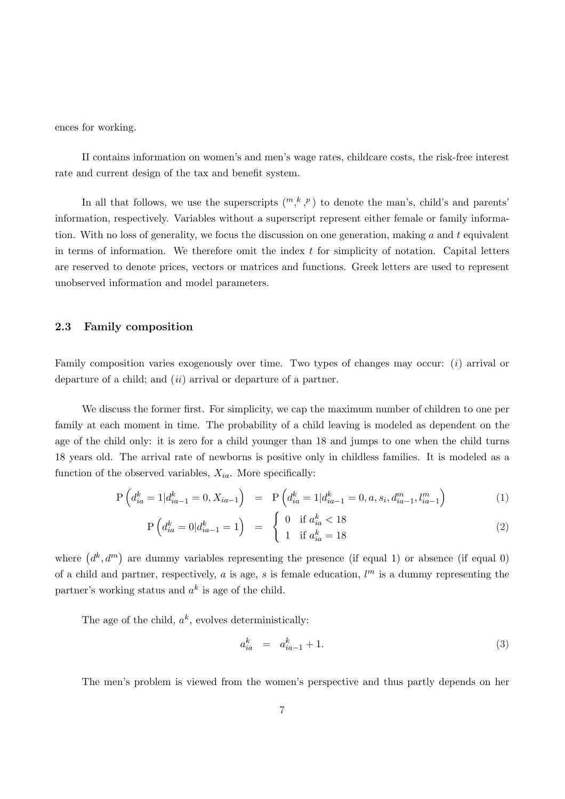ences for working.

Π contains information on women's and men's wage rates, childcare costs, the risk-free interest rate and current design of the tax and benefit system.

In all that follows, we use the superscripts  $\binom{m, k, p}{r}$  to denote the man's, child's and parents' information, respectively. Variables without a superscript represent either female or family information. With no loss of generality, we focus the discussion on one generation, making  $a$  and  $t$  equivalent in terms of information. We therefore omit the index  $t$  for simplicity of notation. Capital letters are reserved to denote prices, vectors or matrices and functions. Greek letters are used to represent unobserved information and model parameters.

## 2.3 Family composition

Family composition varies exogenously over time. Two types of changes may occur: (i) arrival or departure of a child; and *(ii)* arrival or departure of a partner.

We discuss the former first. For simplicity, we cap the maximum number of children to one per family at each moment in time. The probability of a child leaving is modeled as dependent on the age of the child only: it is zero for a child younger than 18 and jumps to one when the child turns 18 years old. The arrival rate of newborns is positive only in childless families. It is modeled as a function of the observed variables,  $X_{ia}$ . More specifically:

$$
P\left(d_{ia}^k = 1 | d_{ia-1}^k = 0, X_{ia-1}\right) = P\left(d_{ia}^k = 1 | d_{ia-1}^k = 0, a, s_i, d_{ia-1}^m, l_{ia-1}^m\right)
$$
\n(1)

$$
P\left(d_{ia}^k = 0 | d_{ia-1}^k = 1\right) = \begin{cases} 0 & \text{if } a_{ia}^k < 18\\ 1 & \text{if } a_{ia}^k = 18 \end{cases}
$$
 (2)

where  $(d^k, d^m)$ are dummy variables representing the presence (if equal 1) or absence (if equal 0) of a child and partner, respectively, a is age, s is female education,  $l^m$  is a dummy representing the partner's working status and  $a^k$  is age of the child.

The age of the child,  $a^k$ , evolves deterministically:

$$
a_{ia}^k = a_{ia-1}^k + 1. \t\t(3)
$$

The men's problem is viewed from the women's perspective and thus partly depends on her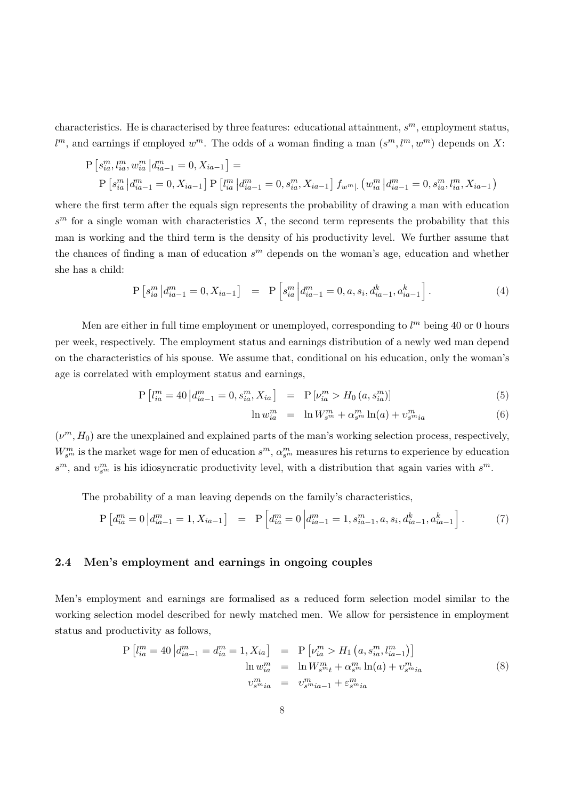characteristics. He is characterised by three features: educational attainment,  $s^m$ , employment status,  $l^m$ , and earnings if employed  $w^m$ . The odds of a woman finding a man  $(s^m, l^m, w^m)$  depends on X:

$$
P\left[s_{ia}^m, l_{ia}^m, w_{ia}^m | d_{ia-1}^m = 0, X_{ia-1}\right] =
$$
  
\n
$$
P\left[s_{ia}^m | d_{ia-1}^m = 0, X_{ia-1}\right] P\left[l_{ia}^m | d_{ia-1}^m = 0, s_{ia}^m, X_{ia-1}\right] f_{w^m} \left(\left(w_{ia}^m | d_{ia-1}^m = 0, s_{ia}^m, l_{ia}^m, X_{ia-1}\right)\right]
$$

where the first term after the equals sign represents the probability of drawing a man with education  $s^m$  for a single woman with characteristics X, the second term represents the probability that this man is working and the third term is the density of his productivity level. We further assume that the chances of finding a man of education  $s^m$  depends on the woman's age, education and whether she has a child:

$$
P\left[s_{ia}^m \left| d_{ia-1}^m = 0, X_{ia-1} \right] \right] = P\left[s_{ia}^m \left| d_{ia-1}^m = 0, a, s_i, d_{ia-1}^k, a_{ia-1}^k \right] \right]. \tag{4}
$$

Men are either in full time employment or unemployed, corresponding to  $l<sup>m</sup>$  being 40 or 0 hours per week, respectively. The employment status and earnings distribution of a newly wed man depend on the characteristics of his spouse. We assume that, conditional on his education, only the woman's age is correlated with employment status and earnings,

$$
P\left[l_{ia}^m = 40 \middle| d_{ia-1}^m = 0, s_{ia}^m, X_{ia}\right] = P\left[\nu_{ia}^m > H_0\left(a, s_{ia}^m\right)\right] \tag{5}
$$

$$
\ln w_{ia}^m = \ln W_{s^m}^m + \alpha_{s^m}^m \ln(a) + v_{s^mia}^m \tag{6}
$$

 $(\nu^m, H_0)$  are the unexplained and explained parts of the man's working selection process, respectively,  $W_{s^m}^m$  is the market wage for men of education  $s^m$ ,  $\alpha_{s^m}^m$  measures his returns to experience by education  $s^m$ , and  $v_{s^m}^m$  is his idiosyncratic productivity level, with a distribution that again varies with  $s^m$ .

The probability of a man leaving depends on the family's characteristics,

$$
P\left[d_{ia}^m = 0 \middle| d_{ia-1}^m = 1, X_{ia-1}\right] = P\left[d_{ia}^m = 0 \middle| d_{ia-1}^m = 1, s_{ia-1}^m, a, s_i, d_{ia-1}^k, a_{ia-1}^k\right].
$$
 (7)

## 2.4 Men's employment and earnings in ongoing couples

Men's employment and earnings are formalised as a reduced form selection model similar to the working selection model described for newly matched men. We allow for persistence in employment status and productivity as follows,

$$
P\left[l_{ia}^{m} = 40 \left| d_{ia-1}^{m} = d_{ia}^{m} = 1, X_{ia}\right]\right. = P\left[\nu_{ia}^{m} > H_{1}\left(a, s_{ia}^{m}, l_{ia-1}^{m}\right)\right]
$$
\n
$$
\ln w_{ia}^{m} = \ln W_{s^{m}t}^{m} + \alpha_{s^{m}}^{m} \ln(a) + \nu_{s^{m}ia}^{m}
$$
\n
$$
v_{s^{m}ia}^{m} = v_{s^{m}ia-1}^{m} + \varepsilon_{s^{m}ia}^{m}
$$
\n
$$
(8)
$$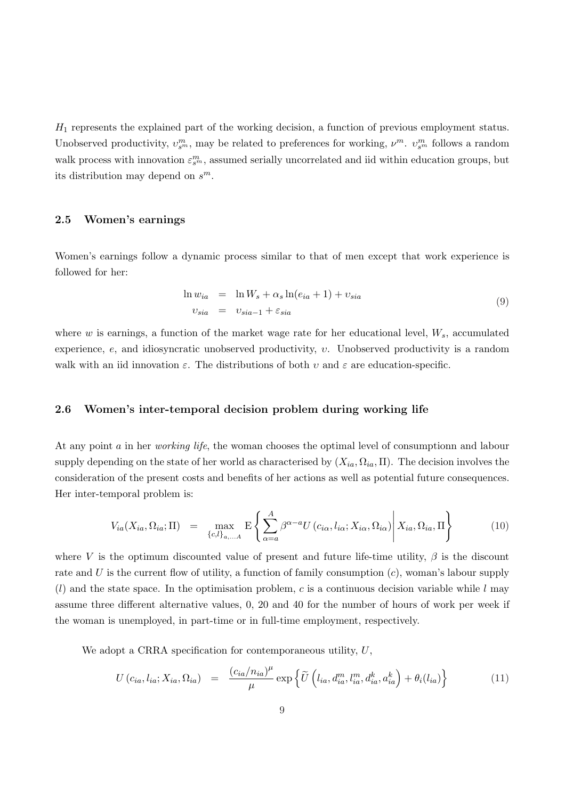$H_1$  represents the explained part of the working decision, a function of previous employment status. Unobserved productivity,  $v_{s^m}^m$ , may be related to preferences for working,  $\nu^m$ .  $v_{s^m}^m$  follows a random walk process with innovation  $\varepsilon_{s^m}^m$ , assumed serially uncorrelated and iid within education groups, but its distribution may depend on  $s^m$ .

#### 2.5 Women's earnings

Women's earnings follow a dynamic process similar to that of men except that work experience is followed for her:

$$
\ln w_{ia} = \ln W_s + \alpha_s \ln(e_{ia} + 1) + v_{sia}
$$
  
\n
$$
v_{sia} = v_{sia-1} + \varepsilon_{sia}
$$
\n(9)

where w is earnings, a function of the market wage rate for her educational level,  $W_s$ , accumulated experience,  $e$ , and idiosyncratic unobserved productivity,  $v$ . Unobserved productivity is a random walk with an iid innovation  $\varepsilon$ . The distributions of both  $v$  and  $\varepsilon$  are education-specific.

#### 2.6 Women's inter-temporal decision problem during working life

At any point a in her *working life*, the woman chooses the optimal level of consumptionn and labour supply depending on the state of her world as characterised by  $(X_{ia}, \Omega_{ia}, \Pi)$ . The decision involves the consideration of the present costs and benefits of her actions as well as potential future consequences. Her inter-temporal problem is:

$$
V_{ia}(X_{ia}, \Omega_{ia}; \Pi) = \max_{\{c,l\}_{a,...A}} \mathbb{E} \left\{ \sum_{\alpha=a}^{A} \beta^{\alpha-a} U(c_{i\alpha}, l_{i\alpha}; X_{i\alpha}, \Omega_{i\alpha}) \middle| X_{ia}, \Omega_{ia}, \Pi \right\}
$$
(10)

where V is the optimum discounted value of present and future life-time utility,  $\beta$  is the discount rate and U is the current flow of utility, a function of family consumption  $(c)$ , woman's labour supply  $(l)$  and the state space. In the optimisation problem, c is a continuous decision variable while l may assume three different alternative values, 0, 20 and 40 for the number of hours of work per week if the woman is unemployed, in part-time or in full-time employment, respectively.

We adopt a CRRA specification for contemporaneous utility,  $U$ ,

$$
U\left(c_{ia}, l_{ia}; X_{ia}, \Omega_{ia}\right) = \frac{\left(c_{ia}/n_{ia}\right)^{\mu}}{\mu} \exp\left\{\widetilde{U}\left(l_{ia}, d_{ia}^m, l_{ia}^m, d_{ia}^k, a_{ia}^k\right) + \theta_i(l_{ia})\right\} \tag{11}
$$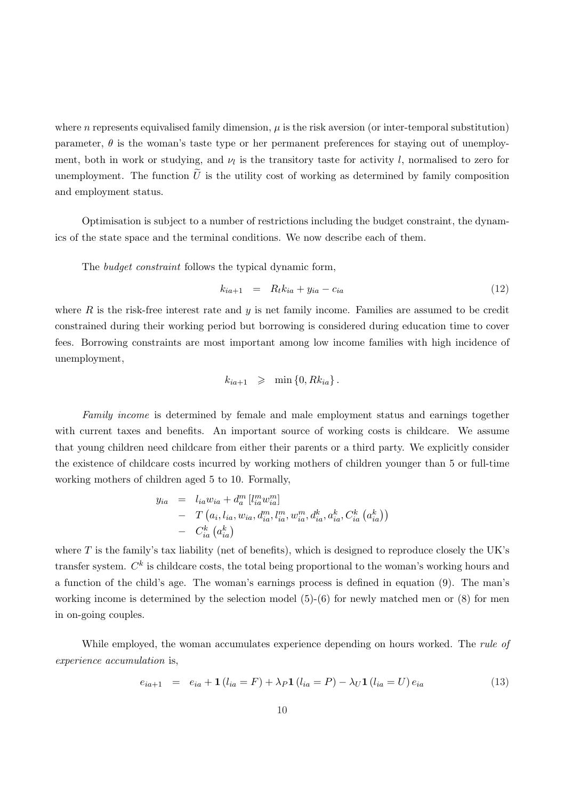where n represents equivalised family dimension,  $\mu$  is the risk aversion (or inter-temporal substitution) parameter,  $\theta$  is the woman's taste type or her permanent preferences for staying out of unemployment, both in work or studying, and  $\nu_l$  is the transitory taste for activity l, normalised to zero for unemployment. The function  $\tilde{U}$  is the utility cost of working as determined by family composition and employment status.

Optimisation is subject to a number of restrictions including the budget constraint, the dynamics of the state space and the terminal conditions. We now describe each of them.

The budget constraint follows the typical dynamic form,

$$
k_{ia+1} = R_t k_{ia} + y_{ia} - c_{ia}
$$
 (12)

where  $R$  is the risk-free interest rate and  $y$  is net family income. Families are assumed to be credit constrained during their working period but borrowing is considered during education time to cover fees. Borrowing constraints are most important among low income families with high incidence of unemployment,

$$
k_{ia+1} \geq \min\{0, Rk_{ia}\}.
$$

Family income is determined by female and male employment status and earnings together with current taxes and benefits. An important source of working costs is childcare. We assume that young children need childcare from either their parents or a third party. We explicitly consider the existence of childcare costs incurred by working mothers of children younger than 5 or full-time working mothers of children aged 5 to 10. Formally,

$$
y_{ia} = l_{ia}w_{ia} + d_a^m [l_{ia}^m w_{ia}^m] - T(a_i, l_{ia}, w_{ia}, d_{ia}^m, l_{ia}^m, w_{ia}^m, d_{ia}^k, a_{ia}^k, C_{ia}^k (a_{ia}^k)) - C_{ia}^k (a_{ia}^k)
$$

where  $T$  is the family's tax liability (net of benefits), which is designed to reproduce closely the UK's transfer system.  $C^k$  is childcare costs, the total being proportional to the woman's working hours and a function of the child's age. The woman's earnings process is defined in equation (9). The man's working income is determined by the selection model  $(5)-(6)$  for newly matched men or  $(8)$  for men in on-going couples.

While employed, the woman accumulates experience depending on hours worked. The *rule of* experience accumulation is,

$$
e_{ia+1} = e_{ia} + \mathbf{1} \left( l_{ia} = F \right) + \lambda_P \mathbf{1} \left( l_{ia} = P \right) - \lambda_U \mathbf{1} \left( l_{ia} = U \right) e_{ia} \tag{13}
$$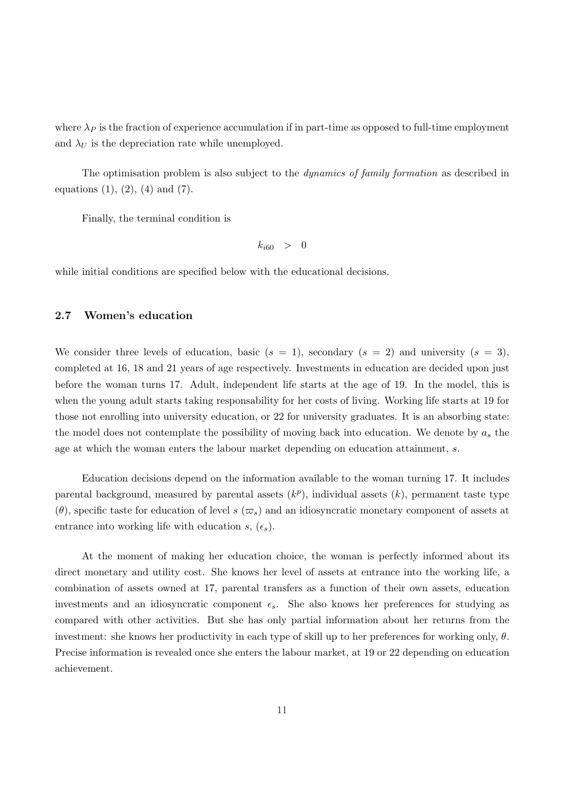where  $\lambda_P$  is the fraction of experience accumulation if in part-time as opposed to full-time employment and  $\lambda_U$  is the depreciation rate while unemployed.

The optimisation problem is also subject to the *dynamics of family formation* as described in equations  $(1), (2), (4)$  and  $(7)$ .

Finally, the terminal condition is

$$
k_{i60} > 0
$$

while initial conditions are specified below with the educational decisions.

## 2.7 Women's education

We consider three levels of education, basic  $(s = 1)$ , secondary  $(s = 2)$  and university  $(s = 3)$ , completed at 16, 18 and 21 years of age respectively. Investments in education are decided upon just before the woman turns 17. Adult, independent life starts at the age of 19. In the model, this is when the young adult starts taking responsability for her costs of living. Working life starts at 19 for those not enrolling into university education, or 22 for university graduates. It is an absorbing state: the model does not contemplate the possibility of moving back into education. We denote by  $a_s$  the age at which the woman enters the labour market depending on education attainment, s.

Education decisions depend on the information available to the woman turning 17. It includes parental background, measured by parental assets  $(k^p)$ , individual assets  $(k)$ , permanent taste type  $(\theta)$ , specific taste for education of level s  $(\varpi_s)$  and an idiosyncratic monetary component of assets at entrance into working life with education s,  $(\epsilon_s)$ .

At the moment of making her education choice, the woman is perfectly informed about its direct monetary and utility cost. She knows her level of assets at entrance into the working life, a combination of assets owned at 17, parental transfers as a function of their own assets, education investments and an idiosyncratic component  $\epsilon_s$ . She also knows her preferences for studying as compared with other activities. But she has only partial information about her returns from the investment: she knows her productivity in each type of skill up to her preferences for working only,  $\theta$ . Precise information is revealed once she enters the labour market, at 19 or 22 depending on education achievement.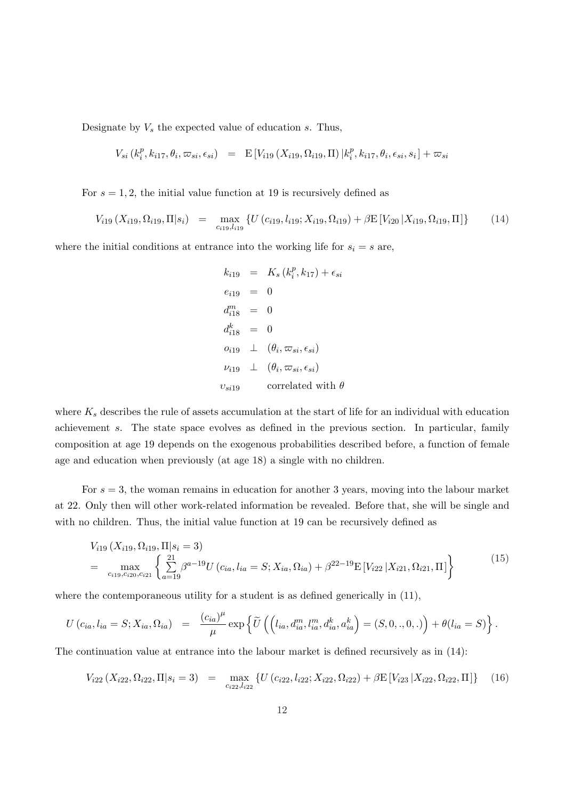Designate by  $V_s$  the expected value of education s. Thus,

$$
V_{si}(k_i^p, k_{i17}, \theta_i, \varpi_{si}, \epsilon_{si}) = \mathbb{E}\left[V_{i19}(X_{i19}, \Omega_{i19}, \Pi)\,|k_i^p, k_{i17}, \theta_i, \epsilon_{si}, s_i\right] + \varpi_{si}
$$

For  $s = 1, 2$ , the initial value function at 19 is recursively defined as

$$
V_{i19}(X_{i19}, \Omega_{i19}, \Pi|s_i) = \max_{c_{i19}, l_{i19}} \{ U(c_{i19}, l_{i19}; X_{i19}, \Omega_{i19}) + \beta E[V_{i20} | X_{i19}, \Omega_{i19}, \Pi] \} \tag{14}
$$

where the initial conditions at entrance into the working life for  $s_i = s$  are,

$$
k_{i19} = K_s (k_i^p, k_{17}) + \epsilon_{si}
$$
  
\n
$$
e_{i19} = 0
$$
  
\n
$$
d_{i18}^m = 0
$$
  
\n
$$
d_{i18}^k = 0
$$
  
\n
$$
o_{i19} \perp (\theta_i, \varpi_{si}, \epsilon_{si})
$$
  
\n
$$
\nu_{i19} \perp (\theta_i, \varpi_{si}, \epsilon_{si})
$$
  
\n
$$
v_{si19}
$$
 correlated with  $\theta$ 

where  $K_s$  describes the rule of assets accumulation at the start of life for an individual with education achievement s. The state space evolves as defined in the previous section. In particular, family composition at age 19 depends on the exogenous probabilities described before, a function of female age and education when previously (at age 18) a single with no children.

For  $s = 3$ , the woman remains in education for another 3 years, moving into the labour market at 22. Only then will other work-related information be revealed. Before that, she will be single and with no children. Thus, the initial value function at 19 can be recursively defined as

$$
V_{i19}(X_{i19}, \Omega_{i19}, \Pi | s_i = 3)
$$
  
= 
$$
\max_{c_{i19}, c_{i20}, c_{i21}} \left\{ \sum_{a=19}^{21} \beta^{a-19} U(c_{ia}, l_{ia} = S; X_{ia}, \Omega_{ia}) + \beta^{22-19} E[V_{i22} | X_{i21}, \Omega_{i21}, \Pi] \right\}
$$
(15)

where the contemporaneous utility for a student is as defined generically in  $(11)$ ,

$$
U(c_{ia}, l_{ia} = S; X_{ia}, \Omega_{ia}) = \frac{(c_{ia})^{\mu}}{\mu} \exp \left\{ \widetilde{U} \left( \left( l_{ia}, d_{ia}^{m}, l_{ia}^{m}, d_{ia}^{k}, a_{ia}^{k} \right) = (S, 0, ., 0, .) \right) + \theta (l_{ia} = S) \right\}.
$$

The continuation value at entrance into the labour market is defined recursively as in (14):

$$
V_{i22}(X_{i22}, \Omega_{i22}, \Pi | s_i = 3) = \max_{c_{i22}, l_{i22}} \{ U(c_{i22}, l_{i22}; X_{i22}, \Omega_{i22}) + \beta E[V_{i23} | X_{i22}, \Omega_{i22}, \Pi] \} \tag{16}
$$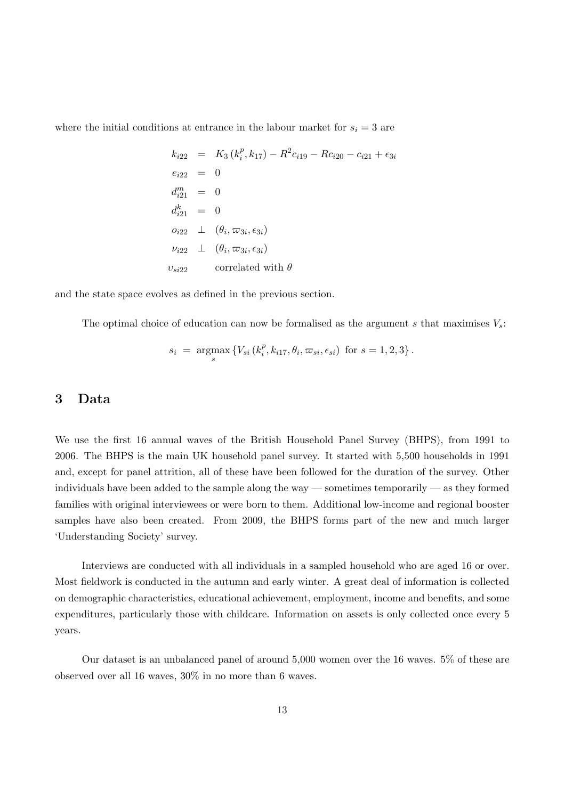where the initial conditions at entrance in the labour market for  $s_i = 3$  are

$$
k_{i22} = K_3 (k_i^p, k_{17}) - R^2 c_{i19} - R c_{i20} - c_{i21} + \epsilon_{3i}
$$
  
\n
$$
e_{i22} = 0
$$
  
\n
$$
d_{i21}^m = 0
$$
  
\n
$$
d_{i21}^k = 0
$$
  
\n
$$
o_{i22} \perp (\theta_i, \varpi_{3i}, \epsilon_{3i})
$$
  
\n
$$
v_{i22} \perp (\theta_i, \varpi_{3i}, \epsilon_{3i})
$$
  
\n
$$
v_{si22}
$$
 correlated with  $\theta$ 

and the state space evolves as defined in the previous section.

The optimal choice of education can now be formalised as the argument s that maximises  $V_s$ :

$$
s_i = \underset{s}{\text{argmax}} \left\{ V_{si} (k_i^p, k_{i17}, \theta_i, \varpi_{si}, \epsilon_{si}) \text{ for } s = 1, 2, 3 \right\}.
$$

## 3 Data

We use the first 16 annual waves of the British Household Panel Survey (BHPS), from 1991 to 2006. The BHPS is the main UK household panel survey. It started with 5,500 households in 1991 and, except for panel attrition, all of these have been followed for the duration of the survey. Other individuals have been added to the sample along the way — sometimes temporarily — as they formed families with original interviewees or were born to them. Additional low-income and regional booster samples have also been created. From 2009, the BHPS forms part of the new and much larger 'Understanding Society' survey.

Interviews are conducted with all individuals in a sampled household who are aged 16 or over. Most fieldwork is conducted in the autumn and early winter. A great deal of information is collected on demographic characteristics, educational achievement, employment, income and benefits, and some expenditures, particularly those with childcare. Information on assets is only collected once every 5 years.

Our dataset is an unbalanced panel of around 5,000 women over the 16 waves. 5% of these are observed over all 16 waves, 30% in no more than 6 waves.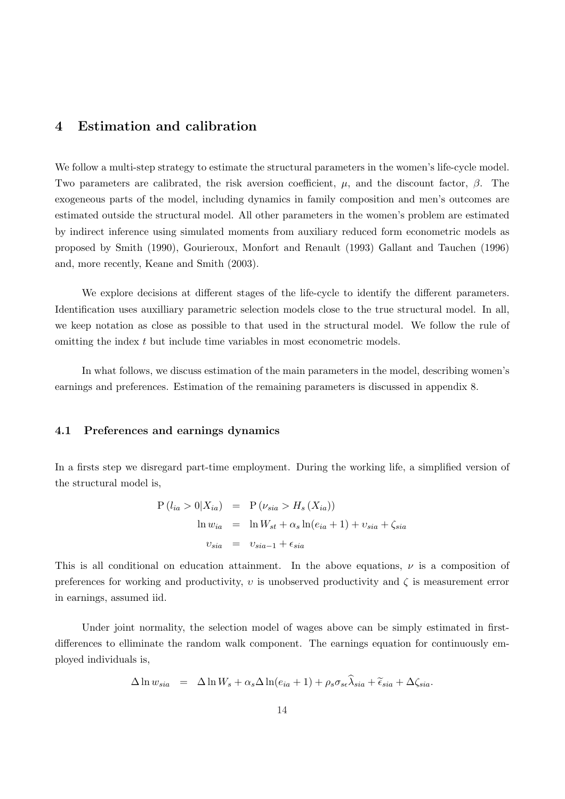# 4 Estimation and calibration

We follow a multi-step strategy to estimate the structural parameters in the women's life-cycle model. Two parameters are calibrated, the risk aversion coefficient,  $\mu$ , and the discount factor,  $\beta$ . The exogeneous parts of the model, including dynamics in family composition and men's outcomes are estimated outside the structural model. All other parameters in the women's problem are estimated by indirect inference using simulated moments from auxiliary reduced form econometric models as proposed by Smith (1990), Gourieroux, Monfort and Renault (1993) Gallant and Tauchen (1996) and, more recently, Keane and Smith (2003).

We explore decisions at different stages of the life-cycle to identify the different parameters. Identification uses auxilliary parametric selection models close to the true structural model. In all, we keep notation as close as possible to that used in the structural model. We follow the rule of omitting the index t but include time variables in most econometric models.

In what follows, we discuss estimation of the main parameters in the model, describing women's earnings and preferences. Estimation of the remaining parameters is discussed in appendix 8.

## 4.1 Preferences and earnings dynamics

In a firsts step we disregard part-time employment. During the working life, a simplified version of the structural model is,

$$
P(l_{ia} > 0|X_{ia}) = P(\nu_{sia} > H_s(X_{ia}))
$$
  
\n
$$
\ln w_{ia} = \ln W_{st} + \alpha_s \ln(e_{ia} + 1) + \nu_{sia} + \zeta_{sia}
$$
  
\n
$$
\nu_{sia} = \nu_{sia-1} + \epsilon_{sia}
$$

This is all conditional on education attainment. In the above equations,  $\nu$  is a composition of preferences for working and productivity,  $v$  is unobserved productivity and  $\zeta$  is measurement error in earnings, assumed iid.

Under joint normality, the selection model of wages above can be simply estimated in firstdifferences to elliminate the random walk component. The earnings equation for continuously employed individuals is,

$$
\Delta \ln w_{sia} = \Delta \ln W_s + \alpha_s \Delta \ln(e_{ia} + 1) + \rho_s \sigma_{se} \hat{\lambda}_{sia} + \tilde{\epsilon}_{sia} + \Delta \zeta_{sia}.
$$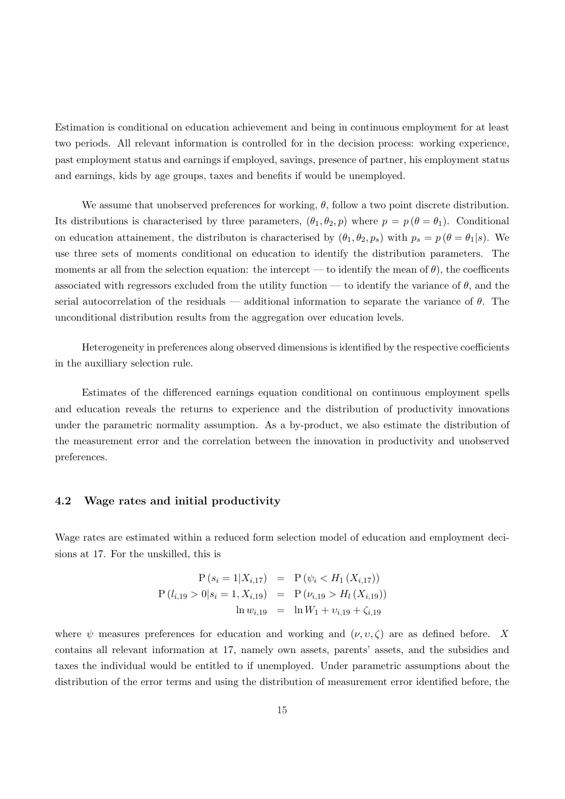Estimation is conditional on education achievement and being in continuous employment for at least two periods. All relevant information is controlled for in the decision process: working experience, past employment status and earnings if employed, savings, presence of partner, his employment status and earnings, kids by age groups, taxes and benefits if would be unemployed.

We assume that unobserved preferences for working,  $\theta$ , follow a two point discrete distribution. Its distributions is characterised by three parameters,  $(\theta_1, \theta_2, p)$  where  $p = p(\theta = \theta_1)$ . Conditional on education attainement, the distributon is characterised by  $(\theta_1, \theta_2, p_s)$  with  $p_s = p(\theta = \theta_1 | s)$ . We use three sets of moments conditional on education to identify the distribution parameters. The moments ar all from the selection equation: the intercept — to identify the mean of  $\theta$ ), the coefficents associated with regressors excluded from the utility function — to identify the variance of  $\theta$ , and the serial autocorrelation of the residuals — additional information to separate the variance of  $\theta$ . The unconditional distribution results from the aggregation over education levels.

Heterogeneity in preferences along observed dimensions is identified by the respective coefficients in the auxilliary selection rule.

Estimates of the differenced earnings equation conditional on continuous employment spells and education reveals the returns to experience and the distribution of productivity innovations under the parametric normality assumption. As a by-product, we also estimate the distribution of the measurement error and the correlation between the innovation in productivity and unobserved preferences.

## 4.2 Wage rates and initial productivity

Wage rates are estimated within a reduced form selection model of education and employment decisions at 17. For the unskilled, this is

$$
P(s_i = 1 | X_{i,17}) = P(\psi_i < H_1(X_{i,17}))
$$
\n
$$
P(l_{i,19} > 0 | s_i = 1, X_{i,19}) = P(\nu_{i,19} > H_l(X_{i,19}))
$$
\n
$$
\ln w_{i,19} = \ln W_1 + \nu_{i,19} + \zeta_{i,19}
$$

where  $\psi$  measures preferences for education and working and  $(\nu, \nu, \zeta)$  are as defined before. X contains all relevant information at 17, namely own assets, parents' assets, and the subsidies and taxes the individual would be entitled to if unemployed. Under parametric assumptions about the distribution of the error terms and using the distribution of measurement error identified before, the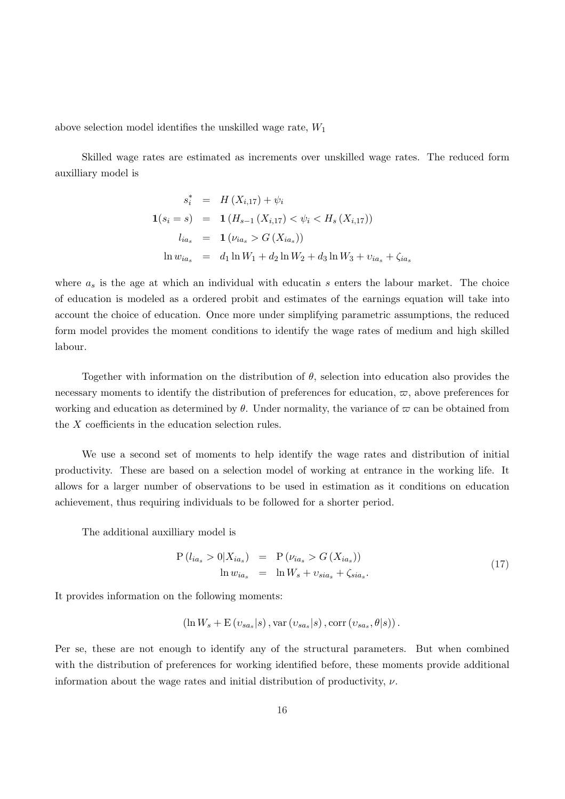above selection model identifies the unskilled wage rate,  $W_1$ 

Skilled wage rates are estimated as increments over unskilled wage rates. The reduced form auxilliary model is

$$
s_i^* = H(X_{i,17}) + \psi_i
$$
  
\n
$$
\mathbf{1}(s_i = s) = \mathbf{1}(H_{s-1}(X_{i,17}) < \psi_i < H_s(X_{i,17}))
$$
  
\n
$$
l_{ia_s} = \mathbf{1}(\nu_{ia_s} > G(X_{ia_s}))
$$
  
\n
$$
\ln w_{ia_s} = d_1 \ln W_1 + d_2 \ln W_2 + d_3 \ln W_3 + \nu_{ia_s} + \zeta_{ia_s}
$$

where  $a_s$  is the age at which an individual with educatin s enters the labour market. The choice of education is modeled as a ordered probit and estimates of the earnings equation will take into account the choice of education. Once more under simplifying parametric assumptions, the reduced form model provides the moment conditions to identify the wage rates of medium and high skilled labour.

Together with information on the distribution of  $\theta$ , selection into education also provides the necessary moments to identify the distribution of preferences for education,  $\varpi$ , above preferences for working and education as determined by  $\theta$ . Under normality, the variance of  $\varpi$  can be obtained from the X coefficients in the education selection rules.

We use a second set of moments to help identify the wage rates and distribution of initial productivity. These are based on a selection model of working at entrance in the working life. It allows for a larger number of observations to be used in estimation as it conditions on education achievement, thus requiring individuals to be followed for a shorter period.

The additional auxilliary model is

$$
P(l_{ia_s} > 0|X_{ia_s}) = P(\nu_{ia_s} > G(X_{ia_s}))
$$
  
\n
$$
\ln w_{ia_s} = \ln W_s + v_{sia_s} + \zeta_{sia_s}.
$$
\n(17)

It provides information on the following moments:

$$
(\ln W_s + \mathcal{E}(v_{sa_s}|s), \text{var}(v_{sa_s}|s), \text{corr}(v_{sa_s}, \theta|s)).
$$

Per se, these are not enough to identify any of the structural parameters. But when combined with the distribution of preferences for working identified before, these moments provide additional information about the wage rates and initial distribution of productivity,  $\nu$ .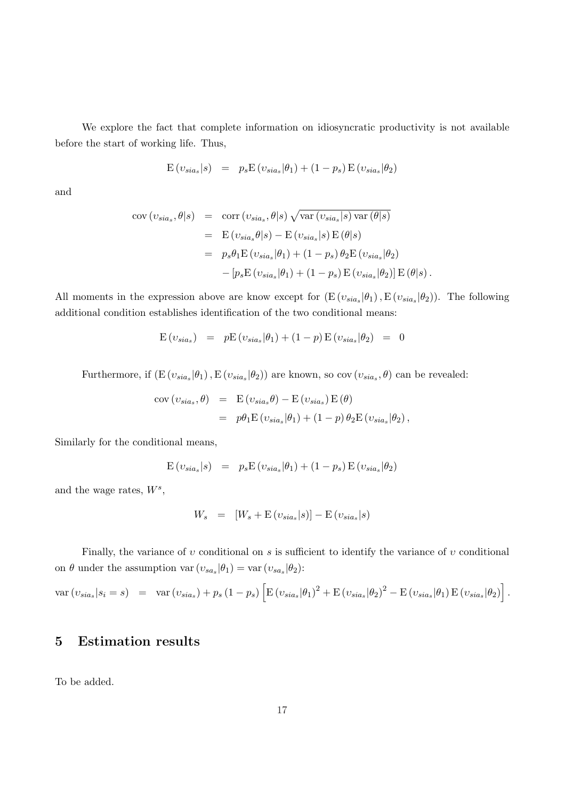We explore the fact that complete information on idiosyncratic productivity is not available before the start of working life. Thus,

$$
E(v_{sia_s}|s) = p_s E(v_{sia_s}|\theta_1) + (1-p_s) E(v_{sia_s}|\theta_2)
$$

and

$$
\begin{array}{rcl}\n\text{cov}(v_{sia_s}, \theta | s) & = & \text{corr}(v_{sia_s}, \theta | s) \sqrt{\text{var}(v_{sia_s} | s) \text{var}(\theta | s)} \\
& = & \text{E}(v_{sia_s} \theta | s) - \text{E}(v_{sia_s} | s) \text{E}(\theta | s) \\
& = & p_s \theta_1 \text{E}(v_{sia_s} | \theta_1) + (1 - p_s) \theta_2 \text{E}(v_{sia_s} | \theta_2) \\
& & - [p_s \text{E}(v_{sia_s} | \theta_1) + (1 - p_s) \text{E}(v_{sia_s} | \theta_2)] \text{E}(\theta | s)\n\end{array}
$$

All moments in the expression above are know except for  $(E(v_{sia_s}|\theta_1), E(v_{sia_s}|\theta_2))$ . The following additional condition establishes identification of the two conditional means:

$$
E(v_{sia_s}) = pE(v_{sia_s}|\theta_1) + (1-p)E(v_{sia_s}|\theta_2) = 0
$$

Furthermore, if  $(E(v_{sia_s}|\theta_1), E(v_{sia_s}|\theta_2))$  are known, so cov  $(v_{sia_s}, \theta)$  can be revealed:

$$
cov(v_{sia_s}, \theta) = E(v_{sia_s}\theta) - E(v_{sia_s})E(\theta)
$$
  
=  $p\theta_1 E(v_{sia_s}|\theta_1) + (1-p)\theta_2 E(v_{sia_s}|\theta_2),$ 

Similarly for the conditional means,

$$
E(v_{sia_s}|s) = p_s E(v_{sia_s}|\theta_1) + (1-p_s) E(v_{sia_s}|\theta_2)
$$

and the wage rates,  $W^s$ ,

$$
W_s = [W_s + \mathcal{E}(v_{sia_s}|s)] - \mathcal{E}(v_{sia_s}|s)
$$

Finally, the variance of  $v$  conditional on  $s$  is sufficient to identify the variance of  $v$  conditional on  $\theta$  under the assumption var  $(v_{sa_s}|\theta_1) = \text{var}(v_{sa_s}|\theta_2)$ :

$$
\text{var}\left(\nu_{sia_s}|s_i=s\right) = \text{var}\left(\nu_{sia_s}\right) + p_s\left(1-p_s\right)\left[\text{E}\left(\nu_{sia_s}|\theta_1\right)^2 + \text{E}\left(\nu_{sia_s}|\theta_2\right)^2 - \text{E}\left(\nu_{sia_s}|\theta_1\right)\text{E}\left(\nu_{sia_s}|\theta_2\right)\right].
$$

# 5 Estimation results

To be added.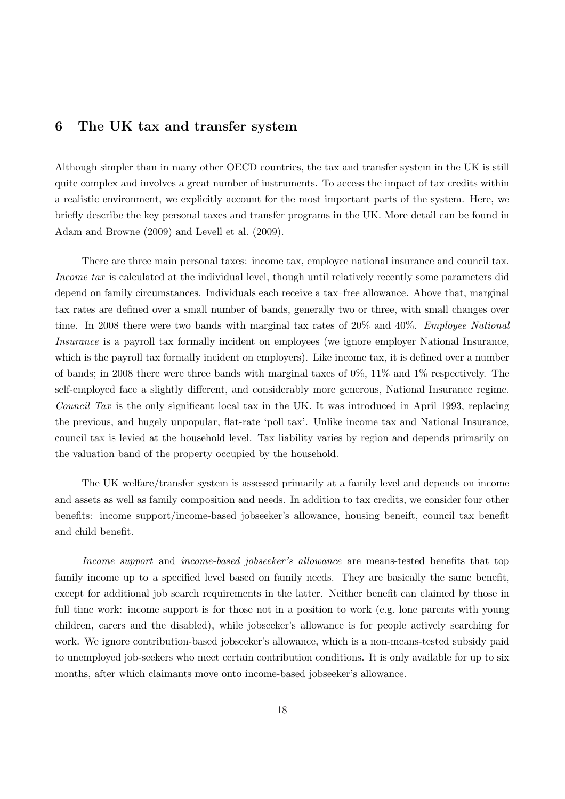# 6 The UK tax and transfer system

Although simpler than in many other OECD countries, the tax and transfer system in the UK is still quite complex and involves a great number of instruments. To access the impact of tax credits within a realistic environment, we explicitly account for the most important parts of the system. Here, we briefly describe the key personal taxes and transfer programs in the UK. More detail can be found in Adam and Browne (2009) and Levell et al. (2009).

There are three main personal taxes: income tax, employee national insurance and council tax. Income tax is calculated at the individual level, though until relatively recently some parameters did depend on family circumstances. Individuals each receive a tax–free allowance. Above that, marginal tax rates are defined over a small number of bands, generally two or three, with small changes over time. In 2008 there were two bands with marginal tax rates of 20% and 40%. *Employee National* Insurance is a payroll tax formally incident on employees (we ignore employer National Insurance, which is the payroll tax formally incident on employers). Like income tax, it is defined over a number of bands; in 2008 there were three bands with marginal taxes of 0%, 11% and 1% respectively. The self-employed face a slightly different, and considerably more generous, National Insurance regime. Council Tax is the only significant local tax in the UK. It was introduced in April 1993, replacing the previous, and hugely unpopular, flat-rate 'poll tax'. Unlike income tax and National Insurance, council tax is levied at the household level. Tax liability varies by region and depends primarily on the valuation band of the property occupied by the household.

The UK welfare/transfer system is assessed primarily at a family level and depends on income and assets as well as family composition and needs. In addition to tax credits, we consider four other benefits: income support/income-based jobseeker's allowance, housing beneift, council tax benefit and child benefit.

Income support and income-based jobseeker's allowance are means-tested benefits that top family income up to a specified level based on family needs. They are basically the same benefit, except for additional job search requirements in the latter. Neither benefit can claimed by those in full time work: income support is for those not in a position to work (e.g. lone parents with young children, carers and the disabled), while jobseeker's allowance is for people actively searching for work. We ignore contribution-based jobseeker's allowance, which is a non-means-tested subsidy paid to unemployed job-seekers who meet certain contribution conditions. It is only available for up to six months, after which claimants move onto income-based jobseeker's allowance.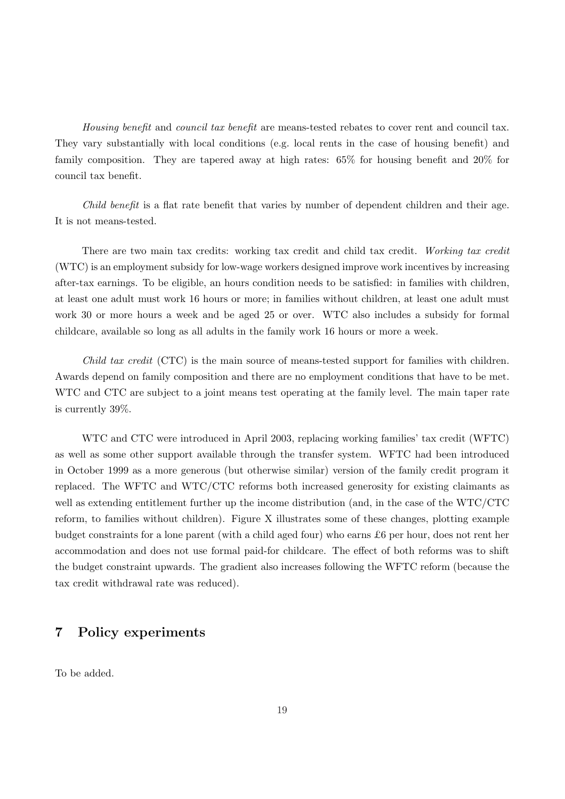Housing benefit and council tax benefit are means-tested rebates to cover rent and council tax. They vary substantially with local conditions (e.g. local rents in the case of housing benefit) and family composition. They are tapered away at high rates: 65% for housing benefit and 20% for council tax benefit.

Child benefit is a flat rate benefit that varies by number of dependent children and their age. It is not means-tested.

There are two main tax credits: working tax credit and child tax credit. Working tax credit (WTC) is an employment subsidy for low-wage workers designed improve work incentives by increasing after-tax earnings. To be eligible, an hours condition needs to be satisfied: in families with children, at least one adult must work 16 hours or more; in families without children, at least one adult must work 30 or more hours a week and be aged 25 or over. WTC also includes a subsidy for formal childcare, available so long as all adults in the family work 16 hours or more a week.

Child tax credit (CTC) is the main source of means-tested support for families with children. Awards depend on family composition and there are no employment conditions that have to be met. WTC and CTC are subject to a joint means test operating at the family level. The main taper rate is currently 39%.

WTC and CTC were introduced in April 2003, replacing working families' tax credit (WFTC) as well as some other support available through the transfer system. WFTC had been introduced in October 1999 as a more generous (but otherwise similar) version of the family credit program it replaced. The WFTC and WTC/CTC reforms both increased generosity for existing claimants as well as extending entitlement further up the income distribution (and, in the case of the WTC/CTC reform, to families without children). Figure X illustrates some of these changes, plotting example budget constraints for a lone parent (with a child aged four) who earns £6 per hour, does not rent her accommodation and does not use formal paid-for childcare. The effect of both reforms was to shift the budget constraint upwards. The gradient also increases following the WFTC reform (because the tax credit withdrawal rate was reduced).

## 7 Policy experiments

To be added.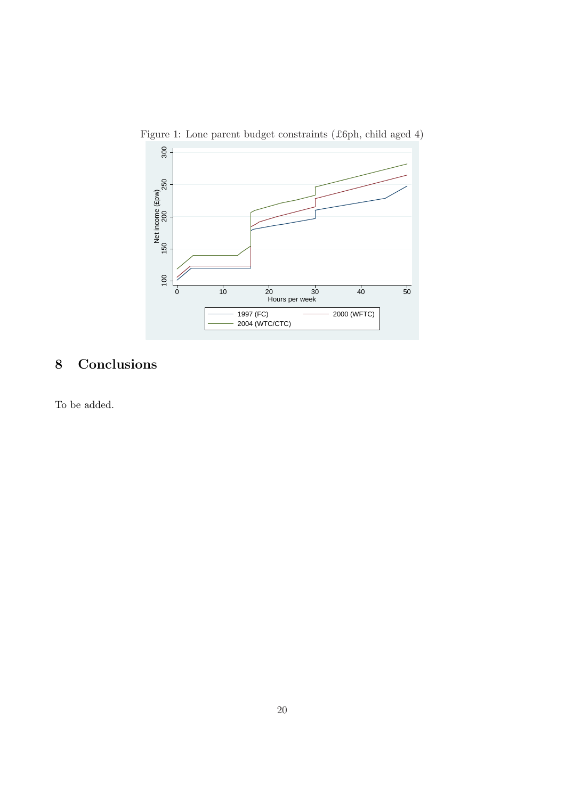

Figure 1: Lone parent budget constraints (£6ph, child aged 4)

# 8 Conclusions

To be added.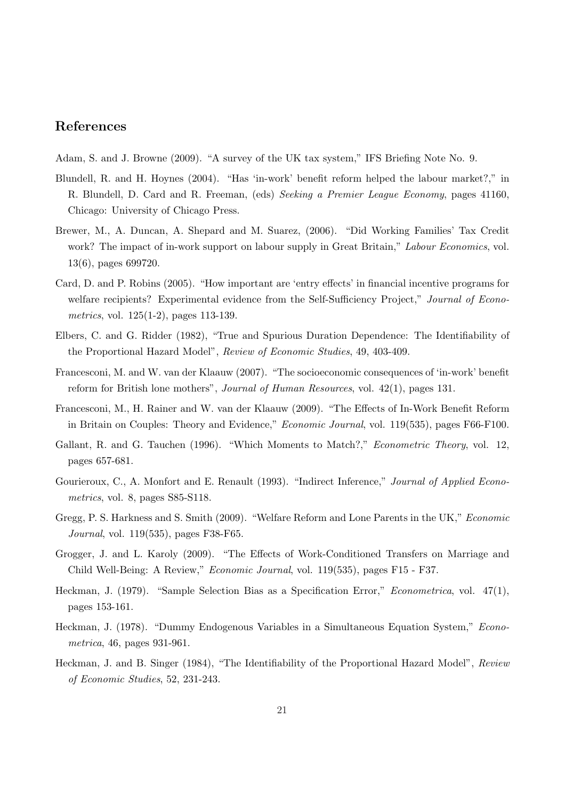# References

Adam, S. and J. Browne (2009). "A survey of the UK tax system," IFS Briefing Note No. 9.

- Blundell, R. and H. Hoynes (2004). "Has 'in-work' benefit reform helped the labour market?," in R. Blundell, D. Card and R. Freeman, (eds) Seeking a Premier League Economy, pages 41160, Chicago: University of Chicago Press.
- Brewer, M., A. Duncan, A. Shepard and M. Suarez, (2006). "Did Working Families' Tax Credit work? The impact of in-work support on labour supply in Great Britain," Labour Economics, vol. 13(6), pages 699720.
- Card, D. and P. Robins (2005). "How important are 'entry effects' in financial incentive programs for welfare recipients? Experimental evidence from the Self-Sufficiency Project," Journal of Econometrics, vol. 125(1-2), pages 113-139.
- Elbers, C. and G. Ridder (1982), "True and Spurious Duration Dependence: The Identifiability of the Proportional Hazard Model", Review of Economic Studies, 49, 403-409.
- Francesconi, M. and W. van der Klaauw (2007). "The socioeconomic consequences of 'in-work' benefit reform for British lone mothers", Journal of Human Resources, vol. 42(1), pages 131.
- Francesconi, M., H. Rainer and W. van der Klaauw (2009). "The Effects of In-Work Benefit Reform in Britain on Couples: Theory and Evidence," *Economic Journal*, vol. 119(535), pages F66-F100.
- Gallant, R. and G. Tauchen (1996). "Which Moments to Match?," *Econometric Theory*, vol. 12, pages 657-681.
- Gourieroux, C., A. Monfort and E. Renault (1993). "Indirect Inference," Journal of Applied Econometrics, vol. 8, pages S85-S118.
- Gregg, P. S. Harkness and S. Smith (2009). "Welfare Reform and Lone Parents in the UK," Economic Journal, vol. 119(535), pages F38-F65.
- Grogger, J. and L. Karoly (2009). "The Effects of Work-Conditioned Transfers on Marriage and Child Well-Being: A Review," Economic Journal, vol. 119(535), pages F15 - F37.
- Heckman, J. (1979). "Sample Selection Bias as a Specification Error," Econometrica, vol. 47(1), pages 153-161.
- Heckman, J. (1978). "Dummy Endogenous Variables in a Simultaneous Equation System," Econometrica, 46, pages 931-961.
- Heckman, J. and B. Singer (1984), "The Identifiability of the Proportional Hazard Model", Review of Economic Studies, 52, 231-243.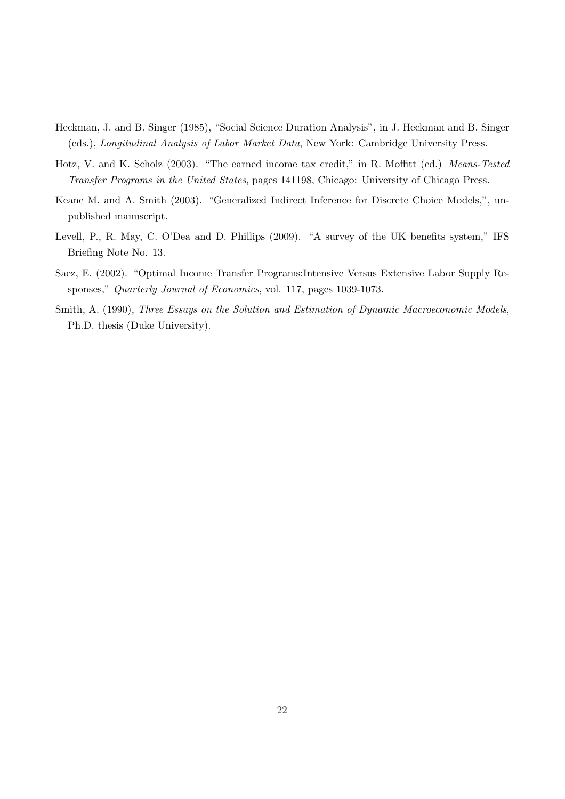- Heckman, J. and B. Singer (1985), "Social Science Duration Analysis", in J. Heckman and B. Singer (eds.), Longitudinal Analysis of Labor Market Data, New York: Cambridge University Press.
- Hotz, V. and K. Scholz (2003). "The earned income tax credit," in R. Moffitt (ed.) Means-Tested Transfer Programs in the United States, pages 141198, Chicago: University of Chicago Press.
- Keane M. and A. Smith (2003). "Generalized Indirect Inference for Discrete Choice Models,", unpublished manuscript.
- Levell, P., R. May, C. O'Dea and D. Phillips (2009). "A survey of the UK benefits system," IFS Briefing Note No. 13.
- Saez, E. (2002). "Optimal Income Transfer Programs:Intensive Versus Extensive Labor Supply Responses," Quarterly Journal of Economics, vol. 117, pages 1039-1073.
- Smith, A. (1990), Three Essays on the Solution and Estimation of Dynamic Macroeconomic Models, Ph.D. thesis (Duke University).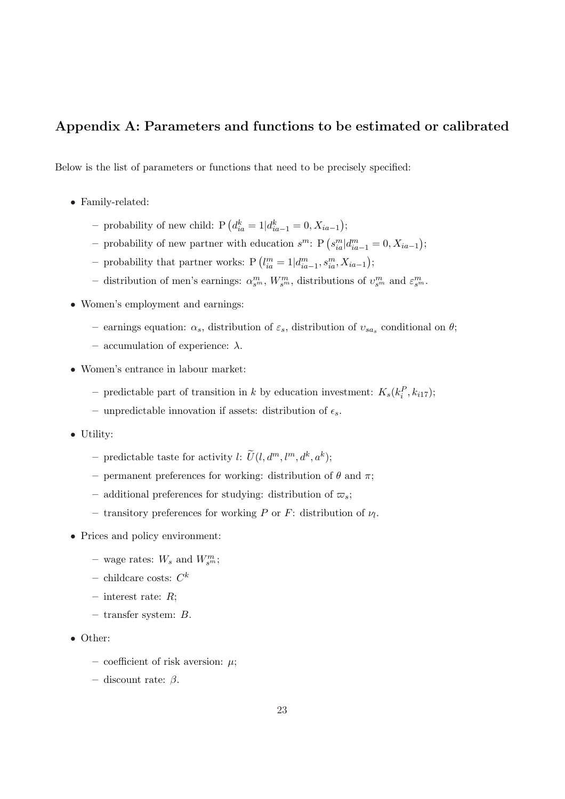# Appendix A: Parameters and functions to be estimated or calibrated

Below is the list of parameters or functions that need to be precisely specified:

- Family-related:
	- probability of new child: P  $(d_{ia}^k = 1 | d_{ia-1}^k = 0, X_{ia-1})$ ¢ ;
	- probability of new partner with education  $s^m$ : P $(s_{ia}^m | d_{ia-1}^m = 0, X_{ia-1})$ ¢ ;
	- probability that partner works: P  $(l_{ia}^m = 1 | d_{ia-1}^m, s_{ia}^m, X_{ia-1})$ ¢ ;
	- distribution of men's earnings:  $\alpha_{s^m}^m$ ,  $W_{s^m}^m$ , distributions of  $v_{s^m}^m$  and  $\varepsilon_{s^m}^m$ .
- Women's employment and earnings:
	- earnings equation:  $\alpha_s$ , distribution of  $\varepsilon_s$ , distribution of  $v_{sa_s}$  conditional on  $\theta$ ;
	- accumulation of experience: λ.
- Women's entrance in labour market:
	- predictable part of transition in k by education investment:  $K_s(k_i^P, k_{i17})$ ;
	- unpredictable innovation if assets: distribution of  $\epsilon_s$ .
- Utility:
	- predictable taste for activity l:  $\widetilde{U}(l, d^m, l^m, d^k, a^k);$
	- permanent preferences for working: distribution of  $\theta$  and  $\pi$ ;
	- additional preferences for studying: distribution of  $\varpi_s$ ;
	- transitory preferences for working P or F: distribution of  $\nu_l$ .
- Prices and policy environment:
	- wage rates:  $W_s$  and  $W_{s^m}^m$ ;
	- $-$  childcare costs:  $C^k$
	- interest rate:  $R$ ;
	- transfer system: B.
- Other:
	- coefficient of risk aversion:  $\mu$ ;
	- discount rate: β.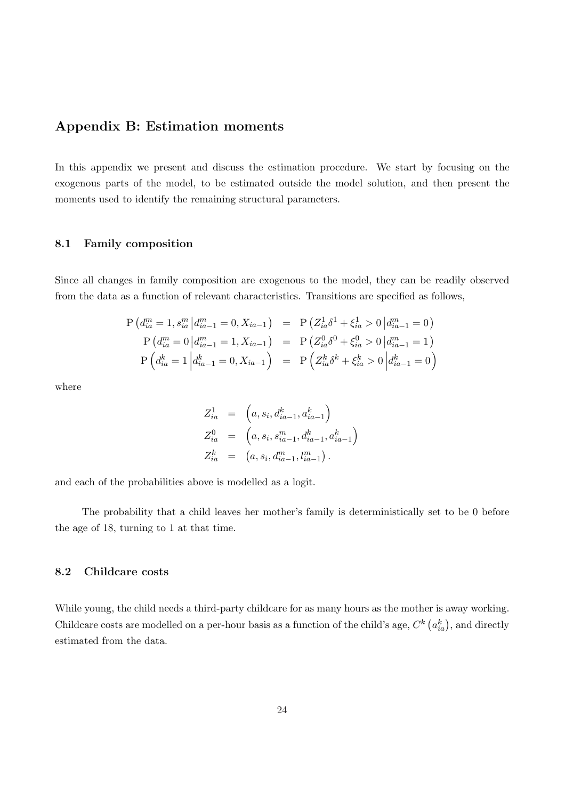## Appendix B: Estimation moments

In this appendix we present and discuss the estimation procedure. We start by focusing on the exogenous parts of the model, to be estimated outside the model solution, and then present the moments used to identify the remaining structural parameters.

## 8.1 Family composition

Since all changes in family composition are exogenous to the model, they can be readily observed from the data as a function of relevant characteristics. Transitions are specified as follows,

$$
P\left(d_{ia}^{m} = 1, s_{ia}^{m} | d_{ia-1}^{m} = 0, X_{ia-1}\right) = P\left(Z_{ia}^{1} \delta^{1} + \xi_{ia}^{1} > 0 | d_{ia-1}^{m} = 0\right)
$$
  
\n
$$
P\left(d_{ia}^{m} = 0 | d_{ia-1}^{m} = 1, X_{ia-1}\right) = P\left(Z_{ia}^{0} \delta^{0} + \xi_{ia}^{0} > 0 | d_{ia-1}^{m} = 1\right)
$$
  
\n
$$
P\left(d_{ia}^{k} = 1 | d_{ia-1}^{k} = 0, X_{ia-1}\right) = P\left(Z_{ia}^{k} \delta^{k} + \xi_{ia}^{k} > 0 | d_{ia-1}^{k} = 0\right)
$$

where

$$
Z_{ia}^{1} = (a, s_i, d_{ia-1}^{k}, a_{ia-1}^{k})
$$
  
\n
$$
Z_{ia}^{0} = (a, s_i, s_{ia-1}^{m}, d_{ia-1}^{k}, a_{ia-1}^{k})
$$
  
\n
$$
Z_{ia}^{k} = (a, s_i, d_{ia-1}^{m}, l_{ia-1}^{m}).
$$

and each of the probabilities above is modelled as a logit.

The probability that a child leaves her mother's family is deterministically set to be 0 before the age of 18, turning to 1 at that time.

## 8.2 Childcare costs

While young, the child needs a third-party childcare for as many hours as the mother is away working. Childcare costs are modelled on a per-hour basis as a function of the child's age,  $C<sup>k</sup>$  (  $a_{ia}^k$ , and directly estimated from the data.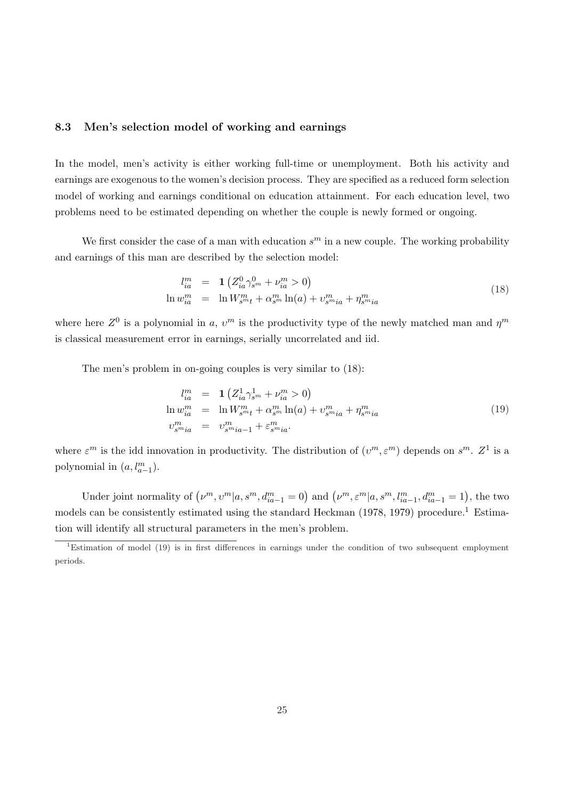## 8.3 Men's selection model of working and earnings

In the model, men's activity is either working full-time or unemployment. Both his activity and earnings are exogenous to the women's decision process. They are specified as a reduced form selection model of working and earnings conditional on education attainment. For each education level, two problems need to be estimated depending on whether the couple is newly formed or ongoing.

We first consider the case of a man with education  $s<sup>m</sup>$  in a new couple. The working probability and earnings of this man are described by the selection model:

$$
l_{ia}^{m} = \mathbf{1} \left( Z_{ia}^{0} \gamma_{s^{m}}^{0} + \nu_{ia}^{m} > 0 \right)
$$
  

$$
\ln w_{ia}^{m} = \ln W_{s^{m}t}^{m} + \alpha_{s^{m}}^{m} \ln(a) + \nu_{s^{m}ia}^{m} + \eta_{s^{m}ia}^{m}
$$
 (18)

where here  $Z^0$  is a polynomial in a,  $v^m$  is the productivity type of the newly matched man and  $\eta^m$ is classical measurement error in earnings, serially uncorrelated and iid.

The men's problem in on-going couples is very similar to (18):

$$
l_{ia}^{m} = \mathbf{1} \left( Z_{ia}^{1} \gamma_{sm}^{1} + \nu_{ia}^{m} > 0 \right)
$$
  
\n
$$
\ln w_{ia}^{m} = \ln W_{sm}^{m} + \alpha_{sm}^{m} \ln(a) + \nu_{smia}^{m} + \eta_{smia}^{m}
$$
  
\n
$$
\nu_{smia}^{m} = \nu_{smia-1}^{m} + \varepsilon_{smia}^{m}.
$$
\n(19)

where  $\varepsilon^m$  is the idd innovation in productivity. The distribution of  $(v^m, \varepsilon^m)$  depends on  $s^m$ .  $Z^1$  is a polynomial in  $(a, l_{a-1}^m)$ .

Under joint normality of  $(\nu^m, \nu^m | a, s^m, d^m_{ia-1} = 0)$  and  $(\nu^m, \varepsilon^m | a, s^m, l^m_{ia-1}, d^m_{ia-1} = 1)$ , the two models can be consistently estimated using the standard Heckman (1978, 1979) procedure.<sup>1</sup> Estimation will identify all structural parameters in the men's problem.

<sup>&</sup>lt;sup>1</sup>Estimation of model (19) is in first differences in earnings under the condition of two subsequent employment periods.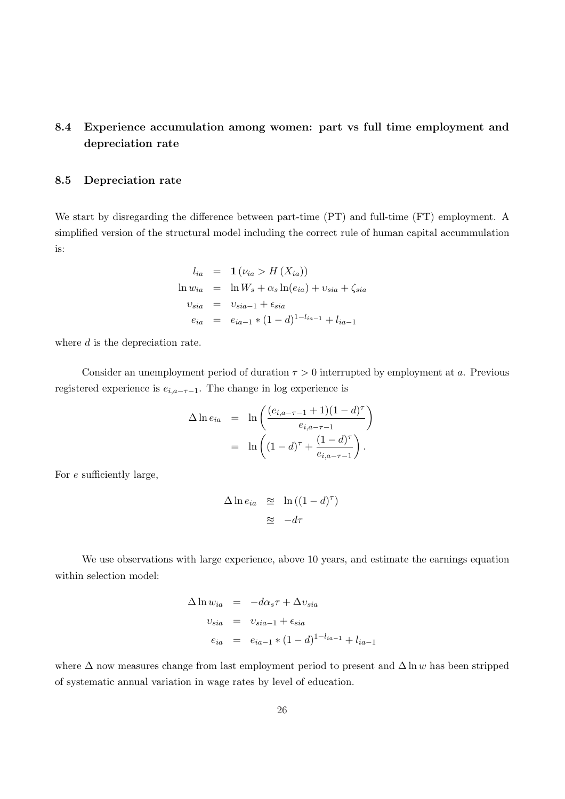# 8.4 Experience accumulation among women: part vs full time employment and depreciation rate

## 8.5 Depreciation rate

We start by disregarding the difference between part-time (PT) and full-time (FT) employment. A simplified version of the structural model including the correct rule of human capital accummulation is:

$$
l_{ia} = \mathbf{1} \left( \nu_{ia} > H \left( X_{ia} \right) \right)
$$
\n
$$
\ln w_{ia} = \ln W_s + \alpha_s \ln(e_{ia}) + v_{sia} + \zeta_{sia}
$$
\n
$$
v_{sia} = v_{sia-1} + \epsilon_{sia}
$$
\n
$$
e_{ia} = e_{ia-1} * (1 - d)^{1 - l_{ia-1}} + l_{ia-1}
$$

where  $d$  is the depreciation rate.

Consider an unemployment period of duration  $\tau > 0$  interrupted by employment at a. Previous registered experience is  $e_{i,a-\tau-1}$ . The change in log experience is

$$
\Delta \ln e_{ia} = \ln \left( \frac{(e_{i,a-\tau-1} + 1)(1-d)^{\tau}}{e_{i,a-\tau-1}} \right) \n= \ln \left( (1-d)^{\tau} + \frac{(1-d)^{\tau}}{e_{i,a-\tau-1}} \right).
$$

For e sufficiently large,

$$
\Delta \ln e_{ia} \quad \approx \quad \ln \left( (1 - d)^{\tau} \right)
$$

$$
\approx \quad -d\tau
$$

We use observations with large experience, above 10 years, and estimate the earnings equation within selection model:

$$
\Delta \ln w_{ia} = -d\alpha_s \tau + \Delta v_{sia}
$$
  

$$
v_{sia} = v_{sia-1} + \epsilon_{sia}
$$
  

$$
e_{ia} = e_{ia-1} * (1-d)^{1-l_{ia-1}} + l_{ia-1}
$$

where  $\Delta$  now measures change from last employment period to present and  $\Delta \ln w$  has been stripped of systematic annual variation in wage rates by level of education.